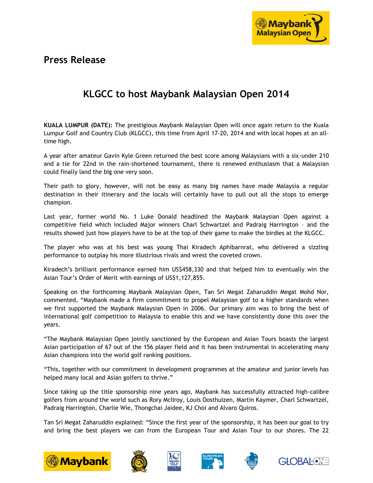

# **Press Release**

# **KLGCC to host Maybank Malaysian Open 2014**

**KUALA LUMPUR (DATE):** The prestigious Maybank Malaysian Open will once again return to the Kuala Lumpur Golf and Country Club (KLGCC), this time from April 17-20, 2014 and with local hopes at an alltime high.

A year after amateur Gavin Kyle Green returned the best score among Malaysians with a six-under 210 and a tie for 22nd in the rain-shortened tournament, there is renewed enthusiasm that a Malaysian could finally land the big one very soon.

Their path to glory, however, will not be easy as many big names have made Malaysia a regular destination in their itinerary and the locals will certainly have to pull out all the stops to emerge champion.

Last year, former world No. 1 Luke Donald headlined the Maybank Malaysian Open against a competitive field which included Major winners Charl Schwartzel and Padraig Harrington – and the results showed just how players have to be at the top of their game to make the birdies at the KLGCC.

The player who was at his best was young Thai Kiradech Aphibarnrat, who delivered a sizzling performance to outplay his more illustrious rivals and wrest the coveted crown.

Kiradech's brilliant performance earned him US\$458,330 and that helped him to eventually win the Asian Tour's Order of Merit with earnings of US\$1,127,855.

Speaking on the forthcoming Maybank Malaysian Open, Tan Sri Megat Zaharuddin Megat Mohd Nor, commented, "Maybank made a firm commitment to propel Malaysian golf to a higher standards when we first supported the Maybank Malaysian Open in 2006. Our primary aim was to bring the best of international golf competition to Malaysia to enable this and we have consistently done this over the years.

"The Maybank Malaysian Open jointly sanctioned by the European and Asian Tours boasts the largest Asian participation of 67 out of the 156 player field and it has been instrumental in accelerating many Asian champions into the world golf ranking positions.

"This, together with our commitment in development programmes at the amateur and junior levels has helped many local and Asian golfers to thrive."

Since taking up the title sponsorship nine years ago, Maybank has successfully attracted high-calibre golfers from around the world such as Rory McIIroy, Louis Oosthuizen, Martin Kaymer, Charl Schwartzel, Padraig Harrington, Charlie Wie, Thongchai Jaidee, KJ Choi and Alvaro Quiros.

Tan Sri Megat Zaharuddin explained: "Since the first year of the sponsorship, it has been our goal to try and bring the best players we can from the European Tour and Asian Tour to our shores. The 22









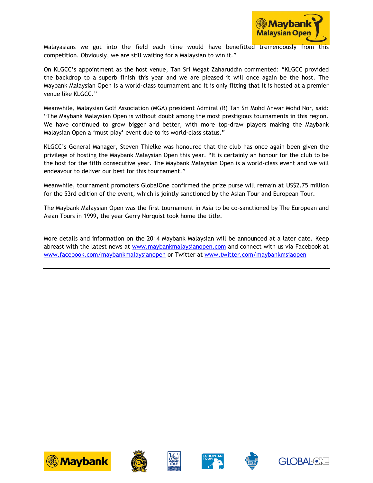

Malayasians we got into the field each time would have benefitted tremendously from this competition. Obviously, we are still waiting for a Malaysian to win it."

On KLGCC's appointment as the host venue, Tan Sri Megat Zaharuddin commented: "KLGCC provided the backdrop to a superb finish this year and we are pleased it will once again be the host. The Maybank Malaysian Open is a world-class tournament and it is only fitting that it is hosted at a premier venue like KLGCC."

Meanwhile, Malaysian Golf Association (MGA) president Admiral (R) Tan Sri Mohd Anwar Mohd Nor, said: "The Maybank Malaysian Open is without doubt among the most prestigious tournaments in this region. We have continued to grow bigger and better, with more top-draw players making the Maybank Malaysian Open a 'must play' event due to its world-class status."

KLGCC's General Manager, Steven Thielke was honoured that the club has once again been given the privilege of hosting the Maybank Malaysian Open this year. "It is certainly an honour for the club to be the host for the fifth consecutive year. The Maybank Malaysian Open is a world-class event and we will endeavour to deliver our best for this tournament."

Meanwhile, tournament promoters GlobalOne confirmed the prize purse will remain at US\$2.75 million for the 53rd edition of the event, which is jointly sanctioned by the Asian Tour and European Tour.

The Maybank Malaysian Open was the first tournament in Asia to be co-sanctioned by The European and Asian Tours in 1999, the year Gerry Norquist took home the title.

More details and information on the 2014 Maybank Malaysian will be announced at a later date. Keep abreast with the latest news at [www.maybankmalaysianopen.com](http://www.maybankmalaysianopen.com/) and connect with us via Facebook at [www.facebook.com/maybankmalaysianopen](http://www.facebook.com/maybankmalaysianopen) or Twitter at [www.twitter.com/maybankmsiaopen](http://www.twitter.com/maybankmsiaopen)











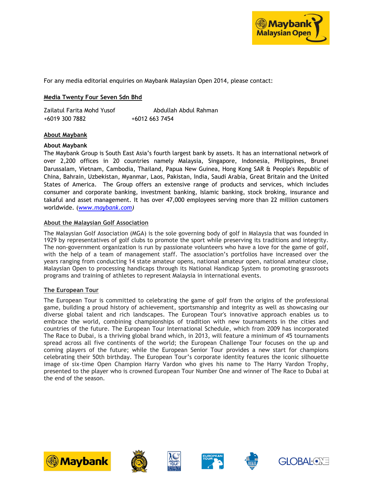

For any media editorial enquiries on Maybank Malaysian Open 2014, please contact:

### **Media Twenty Four Seven Sdn Bhd**

Zailatul Farita Mohd Yusof Abdullah Abdul Rahman +6019 300 7882 +6012 663 7454

#### **About Maybank**

#### **About Maybank**

The Maybank Group is South East Asia's fourth largest bank by assets. It has an international network of over 2,200 offices in 20 countries namely Malaysia, Singapore, Indonesia, Philippines, Brunei Darussalam, Vietnam, Cambodia, Thailand, Papua New Guinea, Hong Kong SAR & People's Republic of China, Bahrain, Uzbekistan, Myanmar, Laos, Pakistan, India, Saudi Arabia, Great Britain and the United States of America. The Group offers an extensive range of products and services, which includes consumer and corporate banking, investment banking, Islamic banking, stock broking, insurance and takaful and asset management. It has over 47,000 employees serving more than 22 million customers worldwide. (*[www.maybank.com\)](http://www.maybank.com/)*

#### **About the Malaysian Golf Association**

The Malaysian Golf Association (MGA) is the sole governing body of golf in Malaysia that was founded in 1929 by representatives of golf clubs to promote the sport while preserving its traditions and integrity. The non-government organization is run by passionate volunteers who have a love for the game of golf, with the help of a team of management staff. The association's portfolios have increased over the years ranging from conducting 14 state amateur opens, national amateur open, national amateur close, Malaysian Open to processing handicaps through its National Handicap System to promoting grassroots programs and training of athletes to represent Malaysia in international events.

#### **The European Tour**

The European Tour is committed to celebrating the game of golf from the origins of the professional game, building a proud history of achievement, sportsmanship and integrity as well as showcasing our diverse global talent and rich landscapes. The European Tour's innovative approach enables us to embrace the world, combining championships of tradition with new tournaments in the cities and countries of the future. The European Tour International Schedule, which from 2009 has incorporated The Race to Dubai, is a thriving global brand which, in 2013, will feature a minimum of 45 tournaments spread across all five continents of the world; the European Challenge Tour focuses on the up and coming players of the future; while the European Senior Tour provides a new start for champions celebrating their 50th birthday. The European Tour's corporate identity features the iconic silhouette image of six-time Open Champion Harry Vardon who gives his name to The Harry Vardon Trophy, presented to the player who is crowned European Tour Number One and winner of The Race to Dubai at the end of the season.